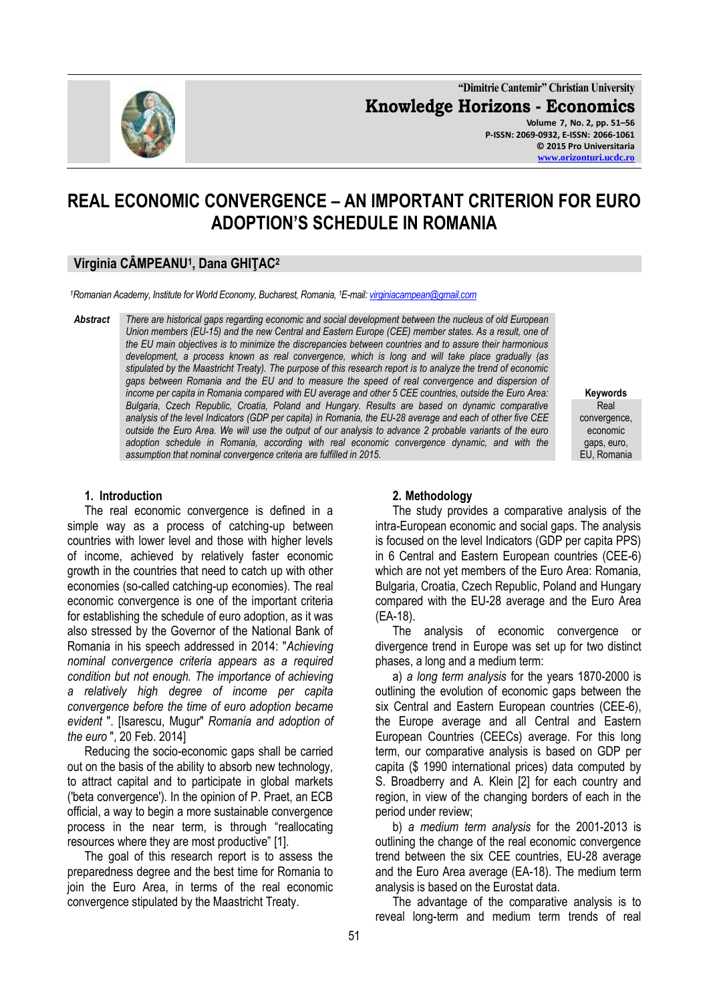

**"Dimitrie Cantemir" Christian University Knowledge Horizons - Economics Volume 7, No. 2, pp. 51–56 P-ISSN: 2069-0932, E-ISSN: 2066-1061 © 2015 Pro Universitaria [www.orizonturi.ucdc.ro](http://www.orizonturi.ucdc.ro/)**

**REAL ECONOMIC CONVERGENCE – AN IMPORTANT CRITERION FOR EURO ADOPTION'S SCHEDULE IN ROMANIA**

# **Virginia CÂMPEANU<sup>1</sup> , Dana GHIŢAC<sup>2</sup>**

*<sup>1</sup>Romanian Academy, Institute for World Economy, Bucharest, Romania, <sup>1</sup>E-mail[: virginiacampean@gmail.com](mailto:virginiacampean@gmail.com)*

*Abstract There are historical gaps regarding economic and social development between the nucleus of old European Union members (EU-15) and the new Central and Eastern Europe (CEE) member states. As a result, one of the EU main objectives is to minimize the discrepancies between countries and to assure their harmonious development, a process known as real convergence, which is long and will take place gradually (as stipulated by the Maastricht Treaty). The purpose of this research report is to analyze the trend of economic gaps between Romania and the EU and to measure the speed of real convergence and dispersion of income per capita in Romania compared with EU average and other 5 CEE countries, outside the Euro Area: Bulgaria, Czech Republic, Croatia, Poland and Hungary. Results are based on dynamic comparative analysis of the level Indicators (GDP per capita) in Romania, the EU-28 average and each of other five CEE outside the Euro Area. We will use the output of our analysis to advance 2 probable variants of the euro adoption schedule in Romania, according with real economic convergence dynamic, and with the assumption that nominal convergence criteria are fulfilled in 2015.*

**Keywords Real** convergence, economic gaps, euro, EU, Romania

#### **1. Introduction**

The real economic convergence is defined in a simple way as a process of catching-up between countries with lower level and those with higher levels of income, achieved by relatively faster economic growth in the countries that need to catch up with other economies (so-called catching-up economies). The real economic convergence is one of the important criteria for establishing the schedule of euro adoption, as it was also stressed by the Governor of the National Bank of Romania in his speech addressed in 2014: "*Achieving nominal convergence criteria appears as a required condition but not enough. The importance of achieving a relatively high degree of income per capita convergence before the time of euro adoption became evident* ". [Isarescu, Mugur" *Romania and adoption of the euro* ", 20 Feb. 2014]

Reducing the socio-economic gaps shall be carried out on the basis of the ability to absorb new technology, to attract capital and to participate in global markets ('beta convergence'). In the opinion of P. Praet, an ECB official, a way to begin a more sustainable convergence process in the near term, is through "reallocating resources where they are most productive" [1].

The goal of this research report is to assess the preparedness degree and the best time for Romania to join the Euro Area, in terms of the real economic convergence stipulated by the Maastricht Treaty.

### **2. Methodology**

The study provides a comparative analysis of the intra-European economic and social gaps. The analysis is focused on the level Indicators (GDP per capita PPS) in 6 Central and Eastern European countries (CEE-6) which are not yet members of the Euro Area: Romania, Bulgaria, Croatia, Czech Republic, Poland and Hungary compared with the EU-28 average and the Euro Area (EA-18).

The analysis of economic convergence or divergence trend in Europe was set up for two distinct phases, a long and a medium term:

a) *a long term analysis* for the years 1870-2000 is outlining the evolution of economic gaps between the six Central and Eastern European countries (CEE-6), the Europe average and all Central and Eastern European Countries (CEECs) average. For this long term, our comparative analysis is based on GDP per capita (\$ 1990 international prices) data computed by S. Broadberry and A. Klein [2] for each country and region, in view of the changing borders of each in the period under review;

b) *a medium term analysis* for the 2001-2013 is outlining the change of the real economic convergence trend between the six CEE countries, EU-28 average and the Euro Area average (EA-18). The medium term analysis is based on the Eurostat data.

The advantage of the comparative analysis is to reveal long-term and medium term trends of real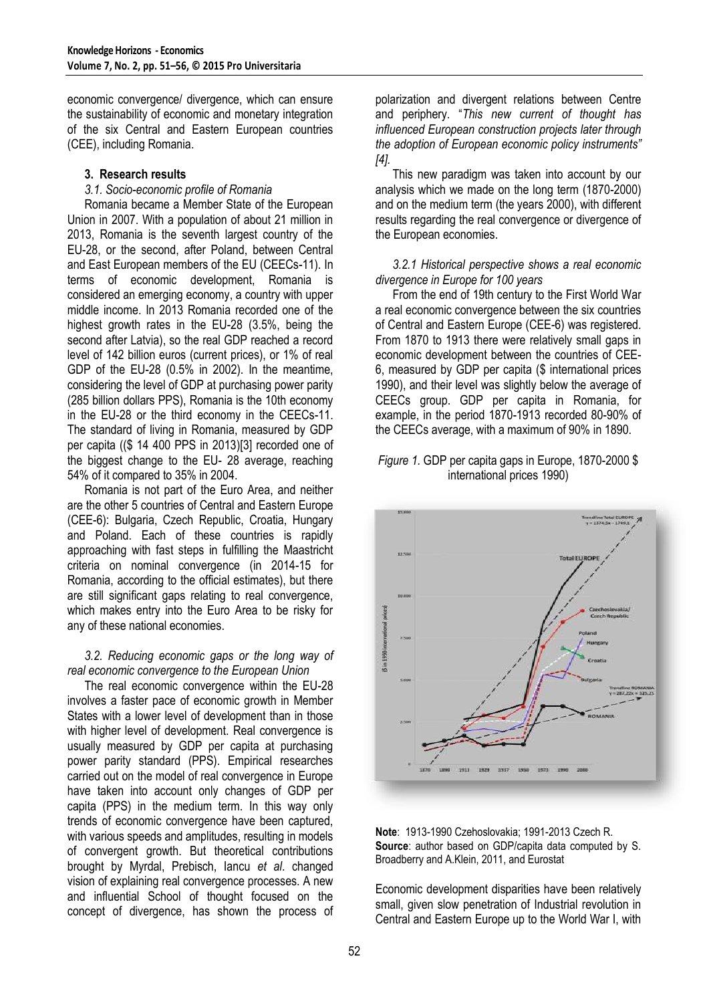economic convergence/ divergence, which can ensure the sustainability of economic and monetary integration of the six Central and Eastern European countries (CEE), including Romania.

# **3. Research results**

### *3.1. Socio-economic profile of Romania*

Romania became a Member State of the European Union in 2007. With a population of about 21 million in 2013, Romania is the seventh largest country of the EU-28, or the second, after Poland, between Central and East European members of the EU (CEECs-11). In terms of economic development, Romania is considered an emerging economy, a country with upper middle income. In 2013 Romania recorded one of the highest growth rates in the EU-28 (3.5%, being the second after Latvia), so the real GDP reached a record level of 142 billion euros (current prices), or 1% of real GDP of the EU-28 (0.5% in 2002). In the meantime, considering the level of GDP at purchasing power parity (285 billion dollars PPS), Romania is the 10th economy in the EU-28 or the third economy in the CEECs-11. The standard of living in Romania, measured by GDP per capita ((\$ 14 400 PPS in 2013)[3] recorded one of the biggest change to the EU- 28 average, reaching 54% of it compared to 35% in 2004.

Romania is not part of the Euro Area, and neither are the other 5 countries of Central and Eastern Europe (CEE-6): Bulgaria, Czech Republic, Croatia, Hungary and Poland. Each of these countries is rapidly approaching with fast steps in fulfilling the Maastricht criteria on nominal convergence (in 2014-15 for Romania, according to the official estimates), but there are still significant gaps relating to real convergence, which makes entry into the Euro Area to be risky for any of these national economies.

# *3.2. Reducing economic gaps or the long way of real economic convergence to the European Union*

The real economic convergence within the EU-28 involves a faster pace of economic growth in Member States with a lower level of development than in those with higher level of development. Real convergence is usually measured by GDP per capita at purchasing power parity standard (PPS). Empirical researches carried out on the model of real convergence in Europe have taken into account only changes of GDP per capita (PPS) in the medium term. In this way only trends of economic convergence have been captured, with various speeds and amplitudes, resulting in models of convergent growth. But theoretical contributions brought by Myrdal, Prebisch, Iancu *et al*. changed vision of explaining real convergence processes. A new and influential School of thought focused on the concept of divergence, has shown the process of

polarization and divergent relations between Centre and periphery. "*This new current of thought has influenced European construction projects later through the adoption of European economic policy instruments" [4].*

This new paradigm was taken into account by our analysis which we made on the long term (1870-2000) and on the medium term (the years 2000), with different results regarding the real convergence or divergence of the European economies.

# *3.2.1 Historical perspective shows a real economic divergence in Europe for 100 years*

From the end of 19th century to the First World War a real economic convergence between the six countries of Central and Eastern Europe (CEE-6) was registered. From 1870 to 1913 there were relatively small gaps in economic development between the countries of CEE-6, measured by GDP per capita (\$ international prices 1990), and their level was slightly below the average of CEECs group. GDP per capita in Romania, for example, in the period 1870-1913 recorded 80-90% of the CEECs average, with a maximum of 90% in 1890.

### *Figure 1.* GDP per capita gaps in Europe, 1870-2000 \$ international prices 1990)





Economic development disparities have been relatively small, given slow penetration of Industrial revolution in Central and Eastern Europe up to the World War I, with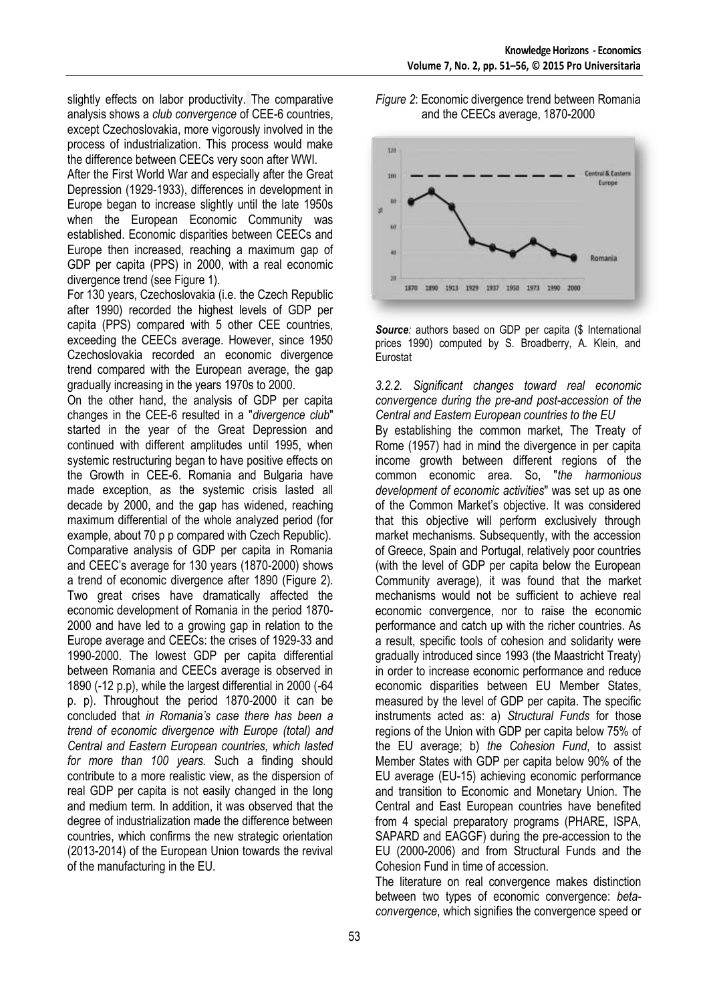slightly effects on labor productivity. The comparative analysis shows a *club convergence* of CEE-6 countries, except Czechoslovakia, more vigorously involved in the process of industrialization. This process would make the difference between CEECs very soon after WWI.

After the First World War and especially after the Great Depression (1929-1933), differences in development in Europe began to increase slightly until the late 1950s when the European Economic Community was established. Economic disparities between CEECs and Europe then increased, reaching a maximum gap of GDP per capita (PPS) in 2000, with a real economic divergence trend (see Figure 1).

For 130 years, Czechoslovakia (i.e. the Czech Republic after 1990) recorded the highest levels of GDP per capita (PPS) compared with 5 other CEE countries, exceeding the CEECs average. However, since 1950 Czechoslovakia recorded an economic divergence trend compared with the European average, the gap gradually increasing in the years 1970s to 2000.

On the other hand, the analysis of GDP per capita changes in the CEE-6 resulted in a "*divergence club*" started in the year of the Great Depression and continued with different amplitudes until 1995, when systemic restructuring began to have positive effects on the Growth in CEE-6. Romania and Bulgaria have made exception, as the systemic crisis lasted all decade by 2000, and the gap has widened, reaching maximum differential of the whole analyzed period (for example, about 70 p p compared with Czech Republic). Comparative analysis of GDP per capita in Romania and CEEC's average for 130 years (1870-2000) shows a trend of economic divergence after 1890 (Figure 2). Two great crises have dramatically affected the economic development of Romania in the period 1870- 2000 and have led to a growing gap in relation to the Europe average and CEECs: the crises of 1929-33 and 1990-2000. The lowest GDP per capita differential between Romania and CEECs average is observed in 1890 (-12 p.p), while the largest differential in 2000 (-64 p. p). Throughout the period 1870-2000 it can be concluded that *in Romania's case there has been a trend of economic divergence with Europe (total) and Central and Eastern European countries, which lasted for more than 100 years.* Such a finding should contribute to a more realistic view, as the dispersion of real GDP per capita is not easily changed in the long and medium term. In addition, it was observed that the degree of industrialization made the difference between countries, which confirms the new strategic orientation (2013-2014) of the European Union towards the revival of the manufacturing in the EU.

*Figure 2*: Economic divergence trend between Romania and the CEECs average, 1870-2000





*3.2.2. Significant changes toward real economic convergence during the pre-and post-accession of the Central and Eastern European countries to the EU*

By establishing the common market, The Treaty of Rome (1957) had in mind the divergence in per capita income growth between different regions of the common economic area. So, "*the harmonious development of economic activities*" was set up as one of the Common Market's objective. It was considered that this objective will perform exclusively through market mechanisms. Subsequently, with the accession of Greece, Spain and Portugal, relatively poor countries (with the level of GDP per capita below the European Community average), it was found that the market mechanisms would not be sufficient to achieve real economic convergence, nor to raise the economic performance and catch up with the richer countries. As a result, specific tools of cohesion and solidarity were gradually introduced since 1993 (the Maastricht Treaty) in order to increase economic performance and reduce economic disparities between EU Member States, measured by the level of GDP per capita. The specific instruments acted as: a) *Structural Funds* for those regions of the Union with GDP per capita below 75% of the EU average; b) *the Cohesion Fund*, to assist Member States with GDP per capita below 90% of the EU average (EU-15) achieving economic performance and transition to Economic and Monetary Union. The Central and East European countries have benefited from 4 special preparatory programs (PHARE, ISPA, SAPARD and EAGGF) during the pre-accession to the EU (2000-2006) and from Structural Funds and the Cohesion Fund in time of accession.

The literature on real convergence makes distinction between two types of economic convergence: *betaconvergence*, which signifies the convergence speed or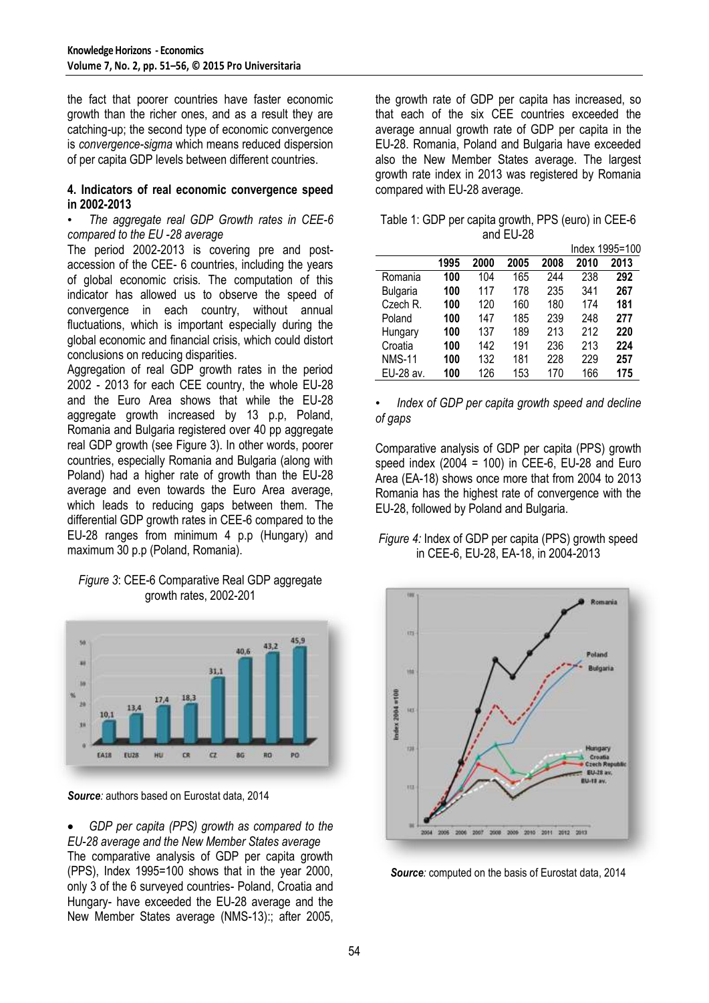the fact that poorer countries have faster economic growth than the richer ones, and as a result they are catching-up; the second type of economic convergence is *convergence-sigma* which means reduced dispersion of per capita GDP levels between different countries.

#### **4. Indicators of real economic convergence speed in 2002-2013**

### • *The aggregate real GDP Growth rates in CEE-6 compared to the EU -28 average*

The period 2002-2013 is covering pre and postaccession of the CEE- 6 countries, including the years of global economic crisis. The computation of this indicator has allowed us to observe the speed of convergence in each country, without annual fluctuations, which is important especially during the global economic and financial crisis, which could distort conclusions on reducing disparities.

Aggregation of real GDP growth rates in the period 2002 - 2013 for each CEE country, the whole EU-28 and the Euro Area shows that while the EU-28 aggregate growth increased by 13 p.p, Poland, Romania and Bulgaria registered over 40 pp aggregate real GDP growth (see Figure 3). In other words, poorer countries, especially Romania and Bulgaria (along with Poland) had a higher rate of growth than the EU-28 average and even towards the Euro Area average, which leads to reducing gaps between them. The differential GDP growth rates in CEE-6 compared to the EU-28 ranges from minimum 4 p.p (Hungary) and maximum 30 p.p (Poland, Romania).

# *Figure 3*: CEE-6 Comparative Real GDP aggregate growth rates, 2002-201



*Source:* authors based on Eurostat data, 2014

 *GDP per capita (PPS) growth as compared to the EU-28 average and the New Member States average* The comparative analysis of GDP per capita growth (PPS), Index 1995=100 shows that in the year 2000, only 3 of the 6 surveyed countries- Poland, Croatia and Hungary- have exceeded the EU-28 average and the New Member States average (NMS-13):; after 2005,

the growth rate of GDP per capita has increased, so that each of the six CEE countries exceeded the average annual growth rate of GDP per capita in the EU-28. Romania, Poland and Bulgaria have exceeded also the New Member States average. The largest growth rate index in 2013 was registered by Romania compared with EU-28 average.

Table 1: GDP per capita growth, PPS (euro) in CEE-6 and EU-28

|                 |      | Index 1995=100 |      |      |      |      |  |  |
|-----------------|------|----------------|------|------|------|------|--|--|
|                 | 1995 | 2000           | 2005 | 2008 | 2010 | 2013 |  |  |
| Romania         | 100  | 104            | 165  | 244  | 238  | 292  |  |  |
| <b>Bulgaria</b> | 100  | 117            | 178  | 235  | 341  | 267  |  |  |
| Czech R.        | 100  | 120            | 160  | 180  | 174  | 181  |  |  |
| Poland          | 100  | 147            | 185  | 239  | 248  | 277  |  |  |
| Hungary         | 100  | 137            | 189  | 213  | 212  | 220  |  |  |
| Croatia         | 100  | 142            | 191  | 236  | 213  | 224  |  |  |
| <b>NMS-11</b>   | 100  | 132            | 181  | 228  | 229  | 257  |  |  |
| EU-28 av.       | 100  | 126            | 153  | 170  | 166  | 175  |  |  |

• *Index of GDP per capita growth speed and decline of gaps*

Comparative analysis of GDP per capita (PPS) growth speed index  $(2004 = 100)$  in CEE-6, EU-28 and Euro Area (EA-18) shows once more that from 2004 to 2013 Romania has the highest rate of convergence with the EU-28, followed by Poland and Bulgaria.

# *Figure 4:* Index of GDP per capita (PPS) growth speed in CEE-6, EU-28, EA-18, in 2004-2013



**Source**: computed on the basis of Eurostat data, 2014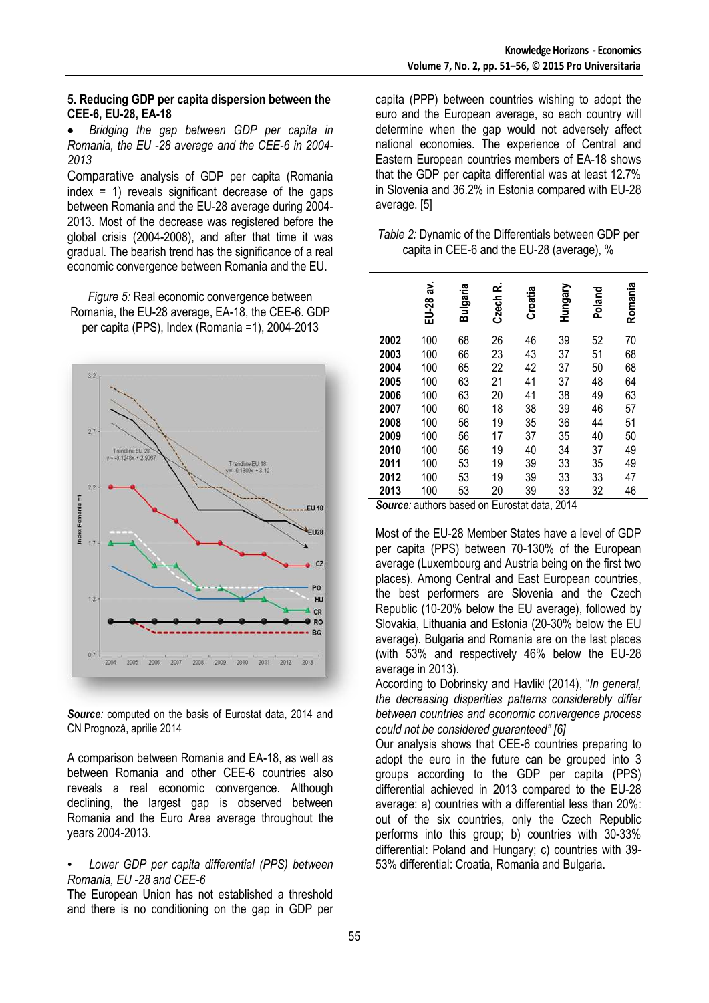# **5. Reducing GDP per capita dispersion between the CEE-6, EU-28, EA-18**

 *Bridging the gap between GDP per capita in Romania, the EU -28 average and the CEE-6 in 2004- 2013*

Comparative analysis of GDP per capita (Romania index = 1) reveals significant decrease of the gaps between Romania and the EU-28 average during 2004- 2013. Most of the decrease was registered before the global crisis (2004-2008), and after that time it was gradual. The bearish trend has the significance of a real economic convergence between Romania and the EU.

*Figure 5:* Real economic convergence between Romania, the EU-28 average, EA-18, the CEE-6. GDP per capita (PPS), Index (Romania =1), 2004-2013



*Source:* computed on the basis of Eurostat data, 2014 and CN Prognoză, aprilie 2014

A comparison between Romania and EA-18, as well as between Romania and other CEE-6 countries also reveals a real economic convergence. Although declining, the largest gap is observed between Romania and the Euro Area average throughout the years 2004-2013.

# • *Lower GDP per capita differential (PPS) between Romania, EU -28 and CEE-6*

The European Union has not established a threshold and there is no conditioning on the gap in GDP per capita (PPP) between countries wishing to adopt the euro and the European average, so each country will determine when the gap would not adversely affect national economies. The experience of Central and Eastern European countries members of EA-18 shows that the GDP per capita differential was at least 12.7% in Slovenia and 36.2% in Estonia compared with EU-28 average. [5]

| Table 2: Dynamic of the Differentials between GDP per |  |
|-------------------------------------------------------|--|
| capita in CEE-6 and the EU-28 (average), %            |  |

|      | ă.<br>EU-28 | Bulgaria | Czech R. | Croatia | Hungary | Poland | Romania |
|------|-------------|----------|----------|---------|---------|--------|---------|
| 2002 | 100         | 68       | 26       | 46      | 39      | 52     | 70      |
| 2003 | 100         | 66       | 23       | 43      | 37      | 51     | 68      |
| 2004 | 100         | 65       | 22       | 42      | 37      | 50     | 68      |
| 2005 | 100         | 63       | 21       | 41      | 37      | 48     | 64      |
| 2006 | 100         | 63       | 20       | 41      | 38      | 49     | 63      |
| 2007 | 100         | 60       | 18       | 38      | 39      | 46     | 57      |
| 2008 | 100         | 56       | 19       | 35      | 36      | 44     | 51      |
| 2009 | 100         | 56       | 17       | 37      | 35      | 40     | 50      |
| 2010 | 100         | 56       | 19       | 40      | 34      | 37     | 49      |
| 2011 | 100         | 53       | 19       | 39      | 33      | 35     | 49      |
| 2012 | 100         | 53       | 19       | 39      | 33      | 33     | 47      |
| 2013 | 100         | 53       | 20       | 39      | 33      | 32     | 46      |

*Source:* authors based on Eurostat data, 2014

Most of the EU-28 Member States have a level of GDP per capita (PPS) between 70-130% of the European average (Luxembourg and Austria being on the first two places). Among Central and East European countries, the best performers are Slovenia and the Czech Republic (10-20% below the EU average), followed by Slovakia, Lithuania and Estonia (20-30% below the EU average). Bulgaria and Romania are on the last places (with 53% and respectively 46% below the EU-28 average in 2013).

According to Dobrinsky and Havlik<sup>i</sup> (2014), "*In general, the decreasing disparities patterns considerably differ between countries and economic convergence process could not be considered guaranteed" [6]*

Our analysis shows that CEE-6 countries preparing to adopt the euro in the future can be grouped into 3 groups according to the GDP per capita (PPS) differential achieved in 2013 compared to the EU-28 average: a) countries with a differential less than 20%: out of the six countries, only the Czech Republic performs into this group; b) countries with 30-33% differential: Poland and Hungary; c) countries with 39- 53% differential: Croatia, Romania and Bulgaria.